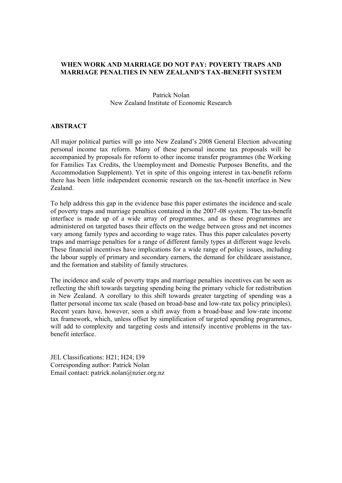# **WHEN WORK AND MARRIAGE DO NOT PAY: POVERTY TRAPS AND MARRIAGE PENALTIES IN NEW ZEALAND'S TAX-BENEFIT SYSTEM**

# Patrick Nolan New Zealand Institute of Economic Research

# **ABSTRACT**

All major political parties will go into New Zealand's 2008 General Election advocating personal income tax reform. Many of these personal income tax proposals will be accompanied by proposals for reform to other income transfer programmes (the Working for Families Tax Credits, the Unemployment and Domestic Purposes Benefits, and the Accommodation Supplement). Yet in spite of this ongoing interest in tax-benefit reform there has been little independent economic research on the tax-benefit interface in New Zealand.

To help address this gap in the evidence base this paper estimates the incidence and scale of poverty traps and marriage penalties contained in the 2007-08 system. The tax-benefit interface is made up of a wide array of programmes, and as these programmes are administered on targeted bases their effects on the wedge between gross and net incomes vary among family types and according to wage rates. Thus this paper calculates poverty traps and marriage penalties for a range of different family types at different wage levels. These financial incentives have implications for a wide range of policy issues, including the labour supply of primary and secondary earners, the demand for childcare assistance, and the formation and stability of family structures.

The incidence and scale of poverty traps and marriage penalties incentives can be seen as reflecting the shift towards targeting spending being the primary vehicle for redistribution in New Zealand. A corollary to this shift towards greater targeting of spending was a flatter personal income tax scale (based on broad-base and low-rate tax policy principles). Recent years have, however, seen a shift away from a broad-base and low-rate income tax framework, which, unless offset by simplification of targeted spending programmes, will add to complexity and targeting costs and intensify incentive problems in the taxbenefit interface.

JEL Classifications: H21; H24; I39 Corresponding author: Patrick Nolan Email contact: patrick.nolan@nzier.org.nz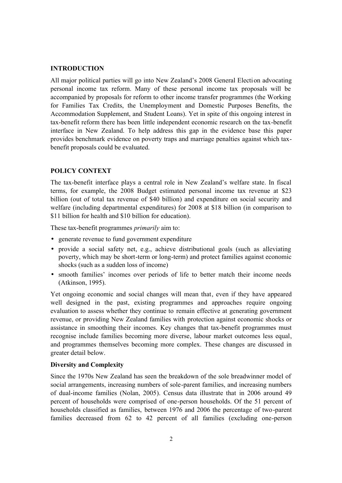## **INTRODUCTION**

All major political parties will go into New Zealand's 2008 General Election advocating personal income tax reform. Many of these personal income tax proposals will be accompanied by proposals for reform to other income transfer programmes (the Working for Families Tax Credits, the Unemployment and Domestic Purposes Benefits, the Accommodation Supplement, and Student Loans). Yet in spite of this ongoing interest in tax-benefit reform there has been little independent economic research on the tax-benefit interface in New Zealand. To help address this gap in the evidence base this paper provides benchmark evidence on poverty traps and marriage penalties against which taxbenefit proposals could be evaluated.

# **POLICY CONTEXT**

The tax-benefit interface plays a central role in New Zealand's welfare state. In fiscal terms, for example, the 2008 Budget estimated personal income tax revenue at \$23 billion (out of total tax revenue of \$40 billion) and expenditure on social security and welfare (including departmental expenditures) for 2008 at \$18 billion (in comparison to \$11 billion for health and \$10 billion for education).

These tax-benefit programmes *primarily* aim to:

- generate revenue to fund government expenditure
- provide a social safety net, e.g., achieve distributional goals (such as alleviating poverty, which may be short-term or long-term) and protect families against economic shocks (such as a sudden loss of income)
- smooth families' incomes over periods of life to better match their income needs (Atkinson, 1995).

Yet ongoing economic and social changes will mean that, even if they have appeared well designed in the past, existing programmes and approaches require ongoing evaluation to assess whether they continue to remain effective at generating government revenue, or providing New Zealand families with protection against economic shocks or assistance in smoothing their incomes. Key changes that tax-benefit programmes must recognise include families becoming more diverse, labour market outcomes less equal, and programmes themselves becoming more complex. These changes are discussed in greater detail below.

### **Diversity and Complexity**

Since the 1970s New Zealand has seen the breakdown of the sole breadwinner model of social arrangements, increasing numbers of sole-parent families, and increasing numbers of dual-income families (Nolan, 2005). Census data illustrate that in 2006 around 49 percent of households were comprised of one-person households. Of the 51 percent of households classified as families, between 1976 and 2006 the percentage of two-parent families decreased from 62 to 42 percent of all families (excluding one-person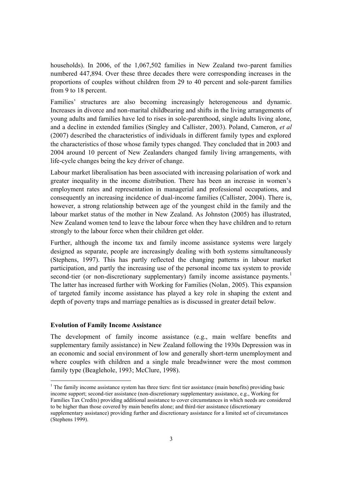households). In 2006, of the 1,067,502 families in New Zealand two-parent families numbered 447,894. Over these three decades there were corresponding increases in the proportions of couples without children from 29 to 40 percent and sole-parent families from 9 to 18 percent.

Families' structures are also becoming increasingly heterogeneous and dynamic. Increases in divorce and non-marital childbearing and shifts in the living arrangements of young adults and families have led to rises in sole-parenthood, single adults living alone, and a decline in extended families (Singley and Callister, 2003). Poland, Cameron, *et al* (2007) described the characteristics of individuals in different family types and explored the characteristics of those whose family types changed. They concluded that in 2003 and 2004 around 10 percent of New Zealanders changed family living arrangements, with life-cycle changes being the key driver of change.

Labour market liberalisation has been associated with increasing polarisation of work and greater inequality in the income distribution. There has been an increase in women's employment rates and representation in managerial and professional occupations, and consequently an increasing incidence of dual-income families (Callister, 2004). There is, however, a strong relationship between age of the youngest child in the family and the labour market status of the mother in New Zealand. As Johnston (2005) has illustrated, New Zealand women tend to leave the labour force when they have children and to return strongly to the labour force when their children get older.

Further, although the income tax and family income assistance systems were largely designed as separate, people are increasingly dealing with both systems simultaneously (Stephens, 1997). This has partly reflected the changing patterns in labour market participation, and partly the increasing use of the personal income tax system to provide second-tier (or non-discretionary supplementary) family income assistance payments.<sup>1</sup> The latter has increased further with Working for Families (Nolan, 2005). This expansion of targeted family income assistance has played a key role in shaping the extent and depth of poverty traps and marriage penalties as is discussed in greater detail below.

### **Evolution of Family Income Assistance**

-

The development of family income assistance (e.g., main welfare benefits and supplementary family assistance) in New Zealand following the 1930s Depression was in an economic and social environment of low and generally short-term unemployment and where couples with children and a single male breadwinner were the most common family type (Beaglehole, 1993; McClure, 1998).

<sup>&</sup>lt;sup>1</sup> The family income assistance system has three tiers: first tier assistance (main benefits) providing basic income support; second-tier assistance (non-discretionary supplementary assistance, e.g., Working for Families Tax Credits) providing additional assistance to cover circumstances in which needs are considered to be higher than those covered by main benefits alone; and third-tier assistance (discretionary supplementary assistance) providing further and discretionary assistance for a limited set of circumstances (Stephens 1999).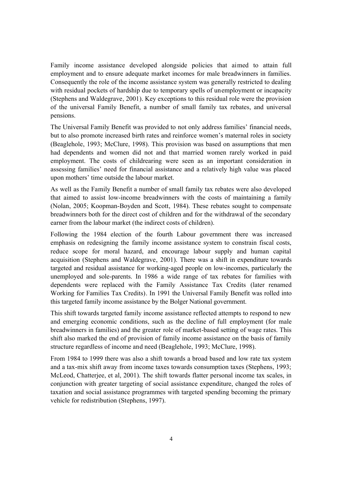Family income assistance developed alongside policies that aimed to attain full employment and to ensure adequate market incomes for male breadwinners in families. Consequently the role of the income assistance system was generally restricted to dealing with residual pockets of hardship due to temporary spells of unemployment or incapacity (Stephens and Waldegrave, 2001). Key exceptions to this residual role were the provision of the universal Family Benefit, a number of small family tax rebates, and universal pensions.

The Universal Family Benefit was provided to not only address families' financial needs, but to also promote increased birth rates and reinforce women's maternal roles in society (Beaglehole, 1993; McClure, 1998). This provision was based on assumptions that men had dependents and women did not and that married women rarely worked in paid employment. The costs of childrearing were seen as an important consideration in assessing families' need for financial assistance and a relatively high value was placed upon mothers' time outside the labour market.

As well as the Family Benefit a number of small family tax rebates were also developed that aimed to assist low-income breadwinners with the costs of maintaining a family (Nolan, 2005; Koopman-Boyden and Scott, 1984). These rebates sought to compensate breadwinners both for the direct cost of children and for the withdrawal of the secondary earner from the labour market (the indirect costs of children).

Following the 1984 election of the fourth Labour government there was increased emphasis on redesigning the family income assistance system to constrain fiscal costs, reduce scope for moral hazard, and encourage labour supply and human capital acquisition (Stephens and Waldegrave, 2001). There was a shift in expenditure towards targeted and residual assistance for working-aged people on low-incomes, particularly the unemployed and sole-parents. In 1986 a wide range of tax rebates for families with dependents were replaced with the Family Assistance Tax Credits (later renamed Working for Families Tax Credits). In 1991 the Universal Family Benefit was rolled into this targeted family income assistance by the Bolger National government.

This shift towards targeted family income assistance reflected attempts to respond to new and emerging economic conditions, such as the decline of full employment (for male breadwinners in families) and the greater role of market-based setting of wage rates. This shift also marked the end of provision of family income assistance on the basis of family structure regardless of income and need (Beaglehole, 1993; McClure, 1998).

From 1984 to 1999 there was also a shift towards a broad based and low rate tax system and a tax-mix shift away from income taxes towards consumption taxes (Stephens, 1993; McLeod, Chatterjee, et al, 2001). The shift towards flatter personal income tax scales, in conjunction with greater targeting of social assistance expenditure, changed the roles of taxation and social assistance programmes with targeted spending becoming the primary vehicle for redistribution (Stephens, 1997).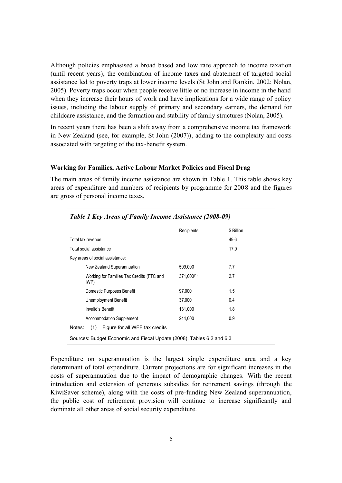Although policies emphasised a broad based and low rate approach to income taxation (until recent years), the combination of income taxes and abatement of targeted social assistance led to poverty traps at lower income levels (St John and Rankin, 2002; Nolan, 2005). Poverty traps occur when people receive little or no increase in income in the hand when they increase their hours of work and have implications for a wide range of policy issues, including the labour supply of primary and secondary earners, the demand for childcare assistance, and the formation and stability of family structures (Nolan, 2005).

In recent years there has been a shift away from a comprehensive income tax framework in New Zealand (see, for example, St John (2007)), adding to the complexity and costs associated with targeting of the tax-benefit system.

#### **Working for Families, Active Labour Market Policies and Fiscal Drag**

The main areas of family income assistance are shown in Table 1. This table shows key areas of expenditure and numbers of recipients by programme for 2008 and the figures are gross of personal income taxes.

|                                                                       | Recipients      | \$ Billion |  |  |  |  |  |  |  |  |
|-----------------------------------------------------------------------|-----------------|------------|--|--|--|--|--|--|--|--|
| Total tax revenue                                                     |                 | 49.6       |  |  |  |  |  |  |  |  |
| Total social assistance                                               |                 | 17.0       |  |  |  |  |  |  |  |  |
| Key areas of social assistance:                                       |                 |            |  |  |  |  |  |  |  |  |
| New Zealand Superannuation                                            | 509.000         | 7.7        |  |  |  |  |  |  |  |  |
| Working for Families Tax Credits (FTC and<br>IWP)                     | $371.000^{(1)}$ | 2.7        |  |  |  |  |  |  |  |  |
| Domestic Purposes Benefit                                             | 97.000          | 1.5        |  |  |  |  |  |  |  |  |
| Unemployment Benefit                                                  | 37.000          | 0.4        |  |  |  |  |  |  |  |  |
| Invalid's Benefit                                                     | 131.000         | 1.8        |  |  |  |  |  |  |  |  |
| Accommodation Supplement                                              | 244.000         | 0.9        |  |  |  |  |  |  |  |  |
| Figure for all WFF tax credits<br>Notes:<br>(1)                       |                 |            |  |  |  |  |  |  |  |  |
| Sources: Budget Economic and Fiscal Update (2008), Tables 6.2 and 6.3 |                 |            |  |  |  |  |  |  |  |  |

*Table 1 Key Areas of Family Income Assistance (2008-09)*

Expenditure on superannuation is the largest single expenditure area and a key determinant of total expenditure. Current projections are for significant increases in the costs of superannuation due to the impact of demographic changes. With the recent introduction and extension of generous subsidies for retirement savings (through the KiwiSaver scheme), along with the costs of pre-funding New Zealand superannuation, the public cost of retirement provision will continue to increase significantly and dominate all other areas of social security expenditure.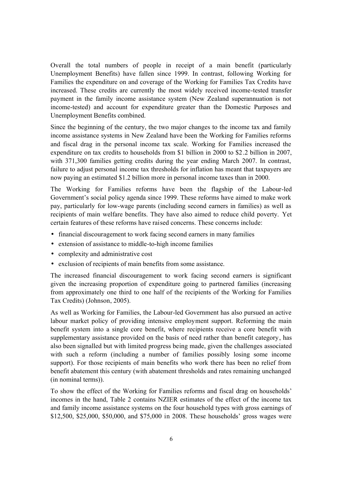Overall the total numbers of people in receipt of a main benefit (particularly Unemployment Benefits) have fallen since 1999. In contrast, following Working for Families the expenditure on and coverage of the Working for Families Tax Credits have increased. These credits are currently the most widely received income-tested transfer payment in the family income assistance system (New Zealand superannuation is not income-tested) and account for expenditure greater than the Domestic Purposes and Unemployment Benefits combined.

Since the beginning of the century, the two major changes to the income tax and family income assistance systems in New Zealand have been the Working for Families reforms and fiscal drag in the personal income tax scale. Working for Families increased the expenditure on tax credits to households from \$1 billion in 2000 to \$2.2 billion in 2007, with 371,300 families getting credits during the year ending March 2007. In contrast, failure to adjust personal income tax thresholds for inflation has meant that taxpayers are now paying an estimated \$1.2 billion more in personal income taxes than in 2000.

The Working for Families reforms have been the flagship of the Labour-led Government's social policy agenda since 1999. These reforms have aimed to make work pay, particularly for low-wage parents (including second earners in families) as well as recipients of main welfare benefits. They have also aimed to reduce child poverty. Yet certain features of these reforms have raised concerns. These concerns include:

- financial discouragement to work facing second earners in many families
- extension of assistance to middle-to-high income families
- complexity and administrative cost
- exclusion of recipients of main benefits from some assistance.

The increased financial discouragement to work facing second earners is significant given the increasing proportion of expenditure going to partnered families (increasing from approximately one third to one half of the recipients of the Working for Families Tax Credits) (Johnson, 2005).

As well as Working for Families, the Labour-led Government has also pursued an active labour market policy of providing intensive employment support. Reforming the main benefit system into a single core benefit, where recipients receive a core benefit with supplementary assistance provided on the basis of need rather than benefit category, has also been signalled but with limited progress being made, given the challenges associated with such a reform (including a number of families possibly losing some income support). For those recipients of main benefits who work there has been no relief from benefit abatement this century (with abatement thresholds and rates remaining unchanged (in nominal terms)).

To show the effect of the Working for Families reforms and fiscal drag on households' incomes in the hand, Table 2 contains NZIER estimates of the effect of the income tax and family income assistance systems on the four household types with gross earnings of \$12,500, \$25,000, \$50,000, and \$75,000 in 2008. These households' gross wages were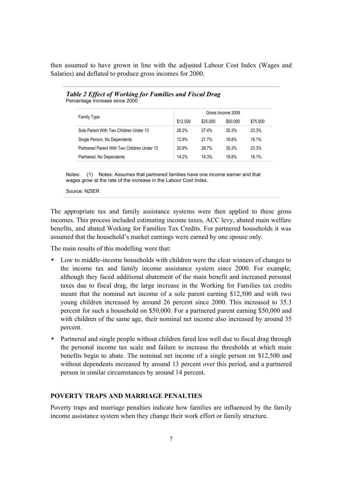then assumed to have grown in line with the adjusted Labour Cost Index (Wages and Salaries) and deflated to produce gross incomes for 2000.

|                                             | Gross Income 2008 |          |          |          |  |  |  |  |  |
|---------------------------------------------|-------------------|----------|----------|----------|--|--|--|--|--|
| Family Type                                 | \$12.500          | \$25,000 | \$50,000 | \$75,000 |  |  |  |  |  |
| Sole Parent With Two Children Under 13      | 26.2%             | 27.4%    | 35.3%    | 23.3%    |  |  |  |  |  |
| Single Person, No Dependents                | 12.9%             | 21.7%    | 18.8%    | 18.1%    |  |  |  |  |  |
| Partnered Parent With Two Children Under 13 | 20.9%             | 28.7%    | 35.3%    | 23.3%    |  |  |  |  |  |
| Partnered, No Dependents                    | 14.2%             | 14.3%    | 18.8%    | 18.1%    |  |  |  |  |  |

*Table 2 Effect of Working for Families and Fiscal Drag* Percentage Increase since 2000

Notes: (1) Notes: Assumes that partnered families have one income earner and that wages grow at the rate of the increase in the Labour Cost Index.

Source: NZIER

The appropriate tax and family assistance systems were then applied to these gross incomes. This process included estimating income taxes, ACC levy, abated main welfare benefits, and abated Working for Families Tax Credits. For partnered households it was assumed that the household's market earnings were earned by one spouse only.

The main results of this modelling were that:

- Low to middle-income households with children were the clear winners of changes to the income tax and family income assistance system since 2000. For example, although they faced additional abatement of the main benefit and increased personal taxes due to fiscal drag, the large increase in the Working for Families tax credits meant that the nominal net income of a sole parent earning \$12,500 and with two young children increased by around 26 percent since 2000. This increased to 35.3 percent for such a household on \$50,000. For a partnered parent earning \$50,000 and with children of the same age, their nominal net income also increased by around 35 percent.
- Partnered and single people without children fared less well due to fiscal drag through the personal income tax scale and failure to increase the thresholds at which main benefits begin to abate. The nominal net income of a single person on \$12,500 and without dependents increased by around 13 percent over this period, and a partnered person in similar circumstances by around 14 percent.

### **POVERTY TRAPS AND MARRIAGE PENALTIES**

Poverty traps and marriage penalties indicate how families are influenced by the family income assistance system when they change their work effort or family structure.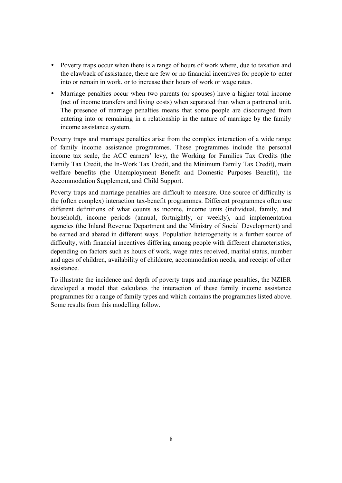- Poverty traps occur when there is a range of hours of work where, due to taxation and the clawback of assistance, there are few or no financial incentives for people to enter into or remain in work, or to increase their hours of work or wage rates.
- Marriage penalties occur when two parents (or spouses) have a higher total income (net of income transfers and living costs) when separated than when a partnered unit. The presence of marriage penalties means that some people are discouraged from entering into or remaining in a relationship in the nature of marriage by the family income assistance system.

Poverty traps and marriage penalties arise from the complex interaction of a wide range of family income assistance programmes. These programmes include the personal income tax scale, the ACC earners' levy, the Working for Families Tax Credits (the Family Tax Credit, the In-Work Tax Credit, and the Minimum Family Tax Credit), main welfare benefits (the Unemployment Benefit and Domestic Purposes Benefit), the Accommodation Supplement, and Child Support.

Poverty traps and marriage penalties are difficult to measure. One source of difficulty is the (often complex) interaction tax-benefit programmes. Different programmes often use different definitions of what counts as income, income units (individual, family, and household), income periods (annual, fortnightly, or weekly), and implementation agencies (the Inland Revenue Department and the Ministry of Social Development) and be earned and abated in different ways. Population heterogeneity is a further source of difficulty, with financial incentives differing among people with different characteristics, depending on factors such as hours of work, wage rates received, marital status, number and ages of children, availability of childcare, accommodation needs, and receipt of other assistance.

To illustrate the incidence and depth of poverty traps and marriage penalties, the NZIER developed a model that calculates the interaction of these family income assistance programmes for a range of family types and which contains the programmes listed above. Some results from this modelling follow.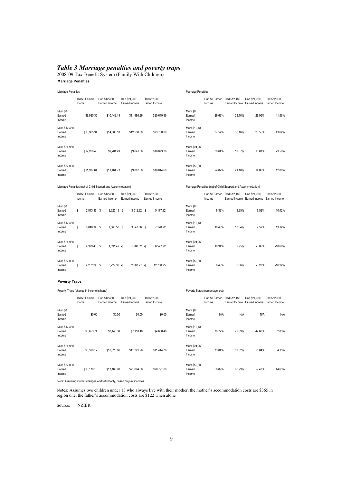#### *Table 3 Marriage penalties and poverty traps*

2008-09 Tax-Benefit System (Family With Children) **Marriage Penalties**

| <b>Marriage Penalties</b>        |                                                             |                               |                               |                               | Marriage Penalties               |                                                             |                               |                               |                               |  |  |
|----------------------------------|-------------------------------------------------------------|-------------------------------|-------------------------------|-------------------------------|----------------------------------|-------------------------------------------------------------|-------------------------------|-------------------------------|-------------------------------|--|--|
|                                  | Dad \$0 Earned<br>Income                                    | Dad \$12,480<br>Earned Income | Dad \$24,960<br>Earned Income | Dad \$52,000<br>Earned Income |                                  | Dad \$0 Earned<br>Income                                    | Dad \$12,480<br>Earned Income | Dad \$24,960<br>Earned Income | Dad \$52,000<br>Earned Income |  |  |
| Mum \$0<br>Earned<br>Income      | \$9,930.36                                                  | \$10,442.19                   | \$11,995.36                   | \$20,649.96                   | Mum \$0<br>Earned<br>Income      | 29.63%                                                      | 28.10%                        | 29.96%                        | 41.56%                        |  |  |
| Mum \$12,480<br>Earned<br>Income | \$13,965.34                                                 | \$14,685.53                   | \$12,530.60                   | \$23,700.20                   | Mum \$12,480<br>Earned<br>Income | 37.57%                                                      | 36.16%                        | 26.55%                        | 43.62%                        |  |  |
| Mum \$24,960<br>Earned<br>Income | \$12,269.40                                                 | \$9,281.49                    | \$9,641.56                    | \$18,073.36                   | Mum \$24,960<br>Earned<br>Income | 30.64%                                                      | 19.67%                        | 18.81%                        | 29.56%                        |  |  |
| Mum \$52,000<br>Earned<br>Income | \$11,937.64                                                 | \$11,464.73                   | \$9,087.00                    | \$10,044.60                   | Mum \$52,000<br>Earned<br>Income | 24.02%                                                      | 21.10%                        | 14.86%                        | 12.80%                        |  |  |
|                                  | Marriage Penalties (net of Child Support and Accommodation) |                               |                               |                               |                                  | Marriage Penalties (net of Child Support and Accommodation) |                               |                               |                               |  |  |

|                                  | Dad \$0 Earned<br>Income |               | Dad \$12,480<br>Earned Income |                |    | Dad \$24,960<br>Earned Income |  | Dad \$52,000<br>Earned Income |                                    |        | Dad \$12,480<br>Dad \$0 Earned<br>Earned Income | Dad \$24,960<br>Earned Income | Dad \$52,000<br>Earned Income |
|----------------------------------|--------------------------|---------------|-------------------------------|----------------|----|-------------------------------|--|-------------------------------|------------------------------------|--------|-------------------------------------------------|-------------------------------|-------------------------------|
| Mum \$0<br>Earned<br>Income      | \$                       | 2,813.36 \$   |                               | 3,325.19       | -S | $3.012.32$ \$                 |  | 5,177.32                      | <b>Mum \$0</b><br>Earned<br>Income | 8.39%  | 8.95%                                           | 7.52%                         | 10.42%                        |
| Mum \$12,480<br>Earned<br>Income | \$                       | 6.848.34 \$   |                               | 7.568.53       | -S | 3,547.56 \$                   |  | 7.128.92                      | Mum \$12,480<br>Earned<br>Income   | 18.43% | 18.64%                                          | 7.52%                         | 13.12%                        |
| Mum \$24,960<br>Earned<br>Income | \$                       | 4.379.40 \$   |                               | $1.391.49 - $$ |    | $1.980.52 - $$                |  | 6.527.92                      | Mum \$24.960<br>Earned<br>Income   | 10.94% | 2.95%                                           | $-3.86%$                      | $-10.68%$                     |
| Mum \$52,000<br>Earned<br>Income | \$                       | $4.202.24$ \$ |                               | $3.729.33 - $$ |    | $2.007.27 - $$                |  | 12.730.95                     | Mum \$52,000<br>Earned<br>Income   | 8.46%  | 6.86%                                           | $-3.28%$                      | $-16.22%$                     |

#### **Poverty Traps**

|                                  | Poverty Traps (change in income in hand) |                               |                               |                               | Poverty Traps (percentage lost)  |                          |                               |                               |                               |  |
|----------------------------------|------------------------------------------|-------------------------------|-------------------------------|-------------------------------|----------------------------------|--------------------------|-------------------------------|-------------------------------|-------------------------------|--|
|                                  | Dad \$0 Earned<br>Income                 | Dad \$12,480<br>Earned Income | Dad \$24,960<br>Earned Income | Dad \$52,000<br>Earned Income |                                  | Dad \$0 Earned<br>Income | Dad \$12,480<br>Earned Income | Dad \$24,960<br>Earned Income | Dad \$52,000<br>Earned Income |  |
| Mum \$0<br>Earned<br>Income      | \$0.00                                   | \$0.00                        | \$0.00                        | \$0.00                        | Mum \$0<br>Earned<br>Income      | N/A                      | N/A                           | N/A                           | N/A                           |  |
| Mum \$12,480<br>Earned<br>Income | \$3,653.74                               | \$3,445.38                    | \$7,153.48                    | \$4,638.48                    | Mum \$12,480<br>Earned<br>Income | 70.72%                   | 72.39%                        | 42.68%                        | 62.83%                        |  |
| Mum \$24,960<br>Earned<br>Income | \$6,529.12                               | \$10,028.86                   | \$11,221.96                   | \$11,444.76                   | Mum \$24,960<br>Earned<br>Income | 73.84%                   | 59.82%                        | 55.04%                        | 54.15%                        |  |
| Mum \$52,000<br>Earned<br>Income | \$16,179.16                              | \$17,163.90                   | \$21.094.80                   | \$28,791.80                   | Mum \$52,000<br>Earned<br>Income | 68.89%                   | 66.99%                        | 59.43%                        | 44.63%                        |  |

Note: Assuming mother changes work effort only, based on joint incomes

Notes: Assumes two children under 13 who always live with their mother, the mother's accommodation costs are \$365 in region one, the father's accommodation costs are \$122 when alone

Source: NZIER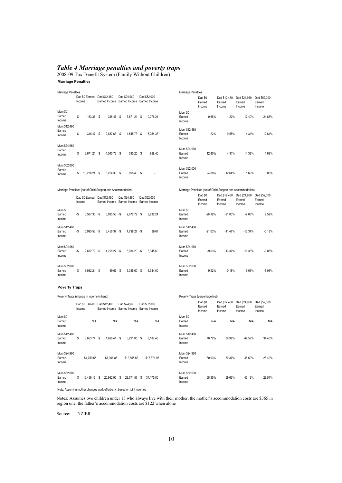#### *Table 4 Marriage penalties and poverty traps*

2008-09 Tax-Benefit System (Family Without Children) **Marriage Penalties**

| Marriage Penalties                                          |        |                             |      |                |      |                                                           |   |                               | Marriage Penalties                 |                                                             |                                  |                                  |                                  |
|-------------------------------------------------------------|--------|-----------------------------|------|----------------|------|-----------------------------------------------------------|---|-------------------------------|------------------------------------|-------------------------------------------------------------|----------------------------------|----------------------------------|----------------------------------|
|                                                             | Income | Dad \$0 Earned              |      | Dad \$12,480   |      | Dad \$24,960<br>Earned Income Earned Income Earned Income |   | Dad \$52,000                  |                                    | Dad \$0<br>Earned<br>Income                                 | Dad \$12,480<br>Earned<br>Income | Dad \$24,960<br>Earned<br>Income | Dad \$52,000<br>Earned<br>Income |
| Mum \$0<br>Earned<br>Income                                 | -\$    | 163.36                      | - \$ | 348.47         | - \$ | 3,671.21 \$                                               |   | 10,276.24                     | Mum \$0<br>Earned<br>Income        | $-0.66%$                                                    | 1.22%                            | 12.40%                           | 24.88%                           |
| Mum \$12,480<br>Earned<br>Income                            | \$     | 348.47 \$                   |      | 2,887.63 \$    |      | 1,545.73 \$                                               |   | 6,254.33                      | Mum \$12,480<br>Earned<br>Income   | 1.22%                                                       | 9.58%                            | 4.31%                            | 12.64%                           |
| Mum \$24,960<br>Earned<br>Income                            | \$     | $3,671.21$ \$               |      | $1.545.73 - $$ |      | 590.20 \$                                                 |   | 998.40                        | Mum \$24,960<br>Earned<br>Income   | 12.40%                                                      | 4.31%                            | $-1.39%$                         | 1.69%                            |
| Mum \$52,000<br>Earned<br>Income                            | \$     | 10,276.24                   | - \$ | 6,254.33 \$    |      | 998.40                                                    | S |                               | Mum \$52,000<br>Earned<br>Income   | 24.88%                                                      | 12.64%                           | 1.69%                            | 0.00%                            |
| Marriage Penalties (net of Child Support and Accommodation) |        |                             |      |                |      |                                                           |   |                               |                                    | Marriage Penalties (net of Child Support and Accommodation) |                                  |                                  |                                  |
|                                                             | Income | Dad \$0 Earned Dad \$12,480 |      |                |      | Dad \$24,960<br>Earned Income Earned Income Earned Income |   | Dad \$52,000                  |                                    | Dad \$0<br>Earned<br>Income                                 | Dad \$12,480<br>Earned<br>Income | Dad \$24,960<br>Earned<br>Income | Dad \$52,000<br>Earned<br>Income |
| <b>Mum \$0</b><br>Earned<br>Income                          | -\$    | $6,507.36 - $$              |      | 5,995.53 -\$   |      | 2,672.79 \$                                               |   | 3,932.24                      | <b>Mum \$0</b><br>Earned<br>Income | $-26.19%$                                                   | $-21.03%$                        | $-9.03%$                         | 9.52%                            |
| Mum \$12,480<br>Earned<br>Income                            | -\$    | 5,995.53 -\$                |      | 3,456.37 -\$   |      | 4,798.27 -\$                                              |   | 89.67                         | Mum \$12,480<br>Earned<br>Income   | $-21.03%$                                                   | $-11.47%$                        | $-13.37%$                        | $-0.18%$                         |
| Mum \$24,960<br>Earned<br>Income                            | -\$    | 2,672.79 -\$                |      | 4,798.27 -\$   |      | $6,934.20 - $$                                            |   | 5,345.60                      | Mum \$24,960<br>Earned<br>Income   | $-9.03%$                                                    | $-13.37%$                        | $-16.33%$                        | $-9.03%$                         |
| Mum \$52,000<br>Earned<br>Income                            | S      | $3,932.24 - $$              |      | 89.67 -\$      |      | 5,345.60 -\$                                              |   | 6,344.00                      | Mum \$52,000<br>Earned<br>Income   | 9.52%                                                       | $-0.18%$                         | $-9.03%$                         | $-8.08%$                         |
| <b>Poverty Traps</b>                                        |        |                             |      |                |      |                                                           |   |                               |                                    |                                                             |                                  |                                  |                                  |
| Poverty Traps (change in income in hand)                    |        |                             |      |                |      |                                                           |   |                               |                                    | Poverty Traps (percentage lost)                             |                                  |                                  |                                  |
|                                                             | Income | Dad \$0 Earned Dad \$12,480 |      |                |      | Dad \$24,960<br>Earned Income Earned Income               |   | Dad \$52,000<br>Earned Income |                                    | Dad \$0<br>Earned<br>Income                                 | Dad \$12,480<br>Earned<br>Income | Dad \$24.960<br>Earned<br>Income | Dad \$52,000<br>Earned<br>Income |
| <b>Mum \$0</b><br>Earned<br>Income                          |        | N/A                         |      | N/A            |      | N/A                                                       |   | N/A                           | Mum \$0<br>Earned<br>Income        | N/A                                                         | N/A                              | N/A                              | N/A                              |
| Mum \$12,480<br>Earned<br>Income                            | \$     | 3,653.74 \$                 |      | 1,626.41 \$    |      | 6,291.05 \$                                               |   | 8,187.48                      | Mum \$12,480<br>Earned<br>Income   | 70.72%                                                      | 86.97%                           | 49.59%                           | 34.40%                           |
| Mum \$24,960<br>Earned<br>Income                            |        | \$4,759.55                  |      | \$7,396.86     |      | \$12,855.53                                               |   | \$17,871.96                   | Mum \$24,960<br>Earned<br>Income   | 80.93%                                                      | 70.37%                           | 48.50%                           | 28.40%                           |
| Mum \$52,000<br>Earned<br>Income                            | S      | 16,459.16 \$                |      | 20,992.90 \$   |      | 29,571.57 \$                                              |   | 37,175.00                     | Mum \$52,000<br>Earned<br>Income   | 68.35%                                                      | 59.63%                           | 43.13%                           | 28.51%                           |

Note: Assuming mother changes work effort only, based on joint incomes

Notes: Assumes two children under 13 who always live with their mother, the mother's accommodation costs are \$365 in region one, the father's accommodation costs are \$122 when alone

Source: NZIER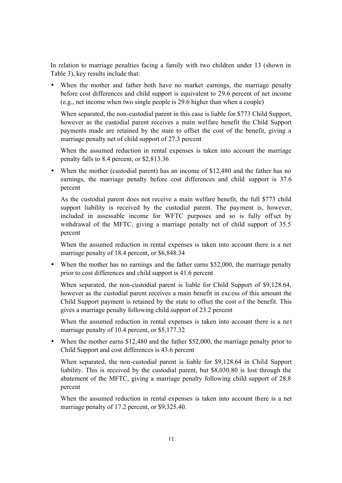In relation to marriage penalties facing a family with two children under 13 (shown in Table 3), key results include that:

• When the mother and father both have no market earnings, the marriage penalty before cost differences and child support is equivalent to 29.6 percent of net income (e.g., net income when two single people is 29.6 higher than when a couple)

When separated, the non-custodial parent in this case is liable for \$773 Child Support, however as the custodial parent receives a main welfare benefit the Child Support payments made are retained by the state to offset the cost of the benefit, giving a marriage penalty net of child support of 27.3 percent

When the assumed reduction in rental expenses is taken into account the marriage penalty falls to 8.4 percent, or \$2,813.36

• When the mother (custodial parent) has an income of \$12,480 and the father has no earnings, the marriage penalty before cost differences and child support is 37.6 percent

As the custodial parent does not receive a main welfare benefit, the full \$773 child support liability is received by the custodial parent. The payment is, however, included in assessable income for WFTC purposes and so is fully offset by withdrawal of the MFTC, giving a marriage penalty net of child support of 35.5 percent

When the assumed reduction in rental expenses is taken into account there is a net marriage penalty of 18.4 percent, or \$6,848.34

• When the mother has no earnings and the father earns \$52,000, the marriage penalty prior to cost differences and child support is 41.6 percent

When separated, the non-custodial parent is liable for Child Support of \$9,128.64, however as the custodial parent receives a main benefit in excess of this amount the Child Support payment is retained by the state to offset the cost o f the benefit. This gives a marriage penalty following child support of 23.2 percent

When the assumed reduction in rental expenses is taken into account there is a net marriage penalty of 10.4 percent, or \$5,177.32

• When the mother earns \$12,480 and the father \$52,000, the marriage penalty prior to Child Support and cost differences is 43.6 percent

When separated, the non-custodial parent is liable for \$9,128.64 in Child Support liability. This is received by the custodial parent, but \$8,030.80 is lost through the abatement of the MFTC, giving a marriage penalty following child support of 28.8 percent

When the assumed reduction in rental expenses is taken into account there is a net marriage penalty of 17.2 percent, or \$9,325.40.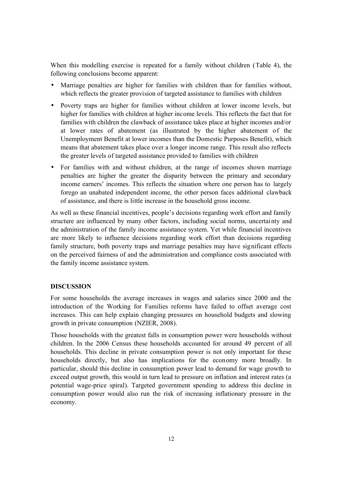When this modelling exercise is repeated for a family without children (Table 4), the following conclusions become apparent:

- Marriage penalties are higher for families with children than for families without, which reflects the greater provision of targeted assistance to families with children
- Poverty traps are higher for families without children at lower income levels, but higher for families with children at higher income levels. This reflects the fact that for families with children the clawback of assistance takes place at higher incomes and/or at lower rates of abatement (as illustrated by the higher abatement of the Unemployment Benefit at lower incomes than the Domestic Purposes Benefit), which means that abatement takes place over a longer income range. This result also reflects the greater levels of targeted assistance provided to families with children
- For families with and without children, at the range of incomes shown marriage penalties are higher the greater the disparity between the primary and secondary income earners' incomes. This reflects the situation where one person has to largely forego an unabated independent income, the other person faces additional clawback of assistance, and there is little increase in the household gross income.

As well as these financial incentives, people's decisions regarding work effort and family structure are influenced by many other factors, including social norms, uncertainty and the administration of the family income assistance system. Yet while financial incentives are more likely to influence decisions regarding work effort than decisions regarding family structure, both poverty traps and marriage penalties may have significant effects on the perceived fairness of and the administration and compliance costs associated with the family income assistance system.

### **DISCUSSION**

For some households the average increases in wages and salaries since 2000 and the introduction of the Working for Families reforms have failed to offset average cost increases. This can help explain changing pressures on household budgets and slowing growth in private consumption (NZIER, 2008).

Those households with the greatest falls in consumption power were households without children. In the 2006 Census these households accounted for around 49 percent of all households. This decline in private consumption power is not only important for these households directly, but also has implications for the economy more broadly. In particular, should this decline in consumption power lead to demand for wage growth to exceed output growth, this would in turn lead to pressure on inflation and interest rates (a potential wage-price spiral). Targeted government spending to address this decline in consumption power would also run the risk of increasing inflationary pressure in the economy.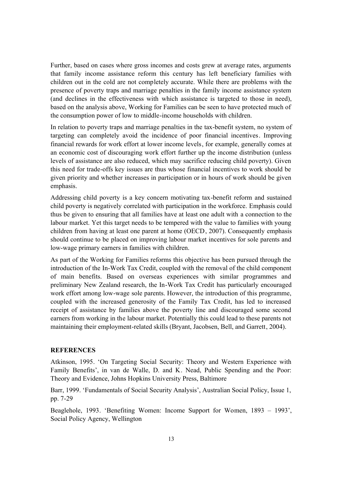Further, based on cases where gross incomes and costs grew at average rates, arguments that family income assistance reform this century has left beneficiary families with children out in the cold are not completely accurate. While there are problems with the presence of poverty traps and marriage penalties in the family income assistance system (and declines in the effectiveness with which assistance is targeted to those in need), based on the analysis above, Working for Families can be seen to have protected much of the consumption power of low to middle-income households with children.

In relation to poverty traps and marriage penalties in the tax-benefit system, no system of targeting can completely avoid the incidence of poor financial incentives. Improving financial rewards for work effort at lower income levels, for example, generally comes at an economic cost of discouraging work effort further up the income distribution (unless levels of assistance are also reduced, which may sacrifice reducing child poverty). Given this need for trade-offs key issues are thus whose financial incentives to work should be given priority and whether increases in participation or in hours of work should be given emphasis.

Addressing child poverty is a key concern motivating tax-benefit reform and sustained child poverty is negatively correlated with participation in the workforce. Emphasis could thus be given to ensuring that all families have at least one adult with a connection to the labour market. Yet this target needs to be tempered with the value to families with young children from having at least one parent at home (OECD, 2007). Consequently emphasis should continue to be placed on improving labour market incentives for sole parents and low-wage primary earners in families with children.

As part of the Working for Families reforms this objective has been pursued through the introduction of the In-Work Tax Credit, coupled with the removal of the child component of main benefits. Based on overseas experiences with similar programmes and preliminary New Zealand research, the In-Work Tax Credit has particularly encouraged work effort among low-wage sole parents. However, the introduction of this programme, coupled with the increased generosity of the Family Tax Credit, has led to increased receipt of assistance by families above the poverty line and discouraged some second earners from working in the labour market. Potentially this could lead to these parents not maintaining their employment-related skills (Bryant, Jacobsen, Bell, and Garrett, 2004).

### **REFERENCES**

Atkinson, 1995. 'On Targeting Social Security: Theory and Western Experience with Family Benefits', in van de Walle, D. and K. Nead, Public Spending and the Poor: Theory and Evidence, Johns Hopkins University Press, Baltimore

Barr, 1999. 'Fundamentals of Social Security Analysis', Australian Social Policy, Issue 1, pp. 7-29

Beaglehole, 1993. 'Benefiting Women: Income Support for Women, 1893 – 1993', Social Policy Agency, Wellington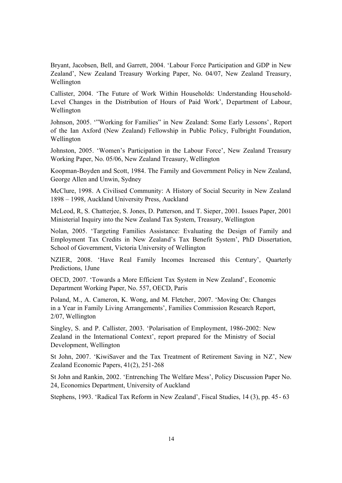Bryant, Jacobsen, Bell, and Garrett, 2004. 'Labour Force Participation and GDP in New Zealand', New Zealand Treasury Working Paper, No. 04/07, New Zealand Treasury, Wellington

Callister, 2004. 'The Future of Work Within Households: Understanding Household-Level Changes in the Distribution of Hours of Paid Work', Department of Labour, Wellington

Johnson, 2005. '"Working for Families" in New Zealand: Some Early Lessons', Report of the Ian Axford (New Zealand) Fellowship in Public Policy, Fulbright Foundation, Wellington

Johnston, 2005. 'Women's Participation in the Labour Force', New Zealand Treasury Working Paper, No. 05/06, New Zealand Treasury, Wellington

Koopman-Boyden and Scott, 1984. The Family and Government Policy in New Zealand, George Allen and Unwin, Sydney

McClure, 1998. A Civilised Community: A History of Social Security in New Zealand 1898 – 1998, Auckland University Press, Auckland

McLeod, R, S. Chatterjee, S. Jones, D. Patterson, and T. Sieper, 2001. Issues Paper, 2001 Ministerial Inquiry into the New Zealand Tax System, Treasury, Wellington

Nolan, 2005. 'Targeting Families Assistance: Evaluating the Design of Family and Employment Tax Credits in New Zealand's Tax Benefit System', PhD Dissertation, School of Government, Victoria University of Wellington

NZIER, 2008. 'Have Real Family Incomes Increased this Century', Quarterly Predictions, 1June

OECD, 2007. 'Towards a More Efficient Tax System in New Zealand', Economic Department Working Paper, No. 557, OECD, Paris

Poland, M., A. Cameron, K. Wong, and M. Fletcher, 2007. 'Moving On: Changes in a Year in Family Living Arrangements', Families Commission Research Report, 2/07, Wellington

Singley, S. and P. Callister, 2003. 'Polarisation of Employment, 1986-2002: New Zealand in the International Context', report prepared for the Ministry of Social Development, Wellington

St John, 2007. 'KiwiSaver and the Tax Treatment of Retirement Saving in NZ', New Zealand Economic Papers, 41(2), 251-268

St John and Rankin, 2002. 'Entrenching The Welfare Mess', Policy Discussion Paper No. 24, Economics Department, University of Auckland

Stephens, 1993. 'Radical Tax Reform in New Zealand', Fiscal Studies, 14 (3), pp. 45- 63